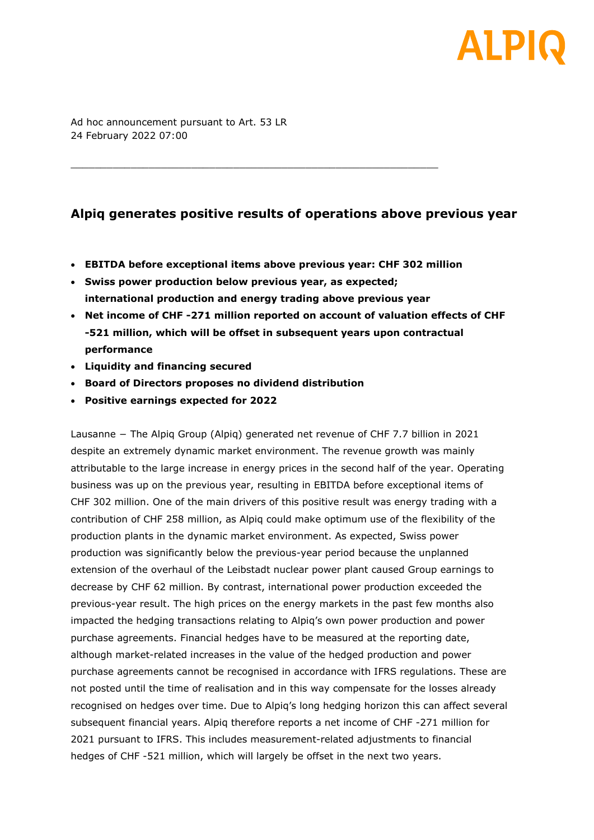# ALPI

Ad hoc announcement pursuant to Art. 53 LR 24 February 2022 07:00

# **Alpiq generates positive results of operations above previous year**

- **EBITDA before exceptional items above previous year: CHF 302 million**
- **Swiss power production below previous year, as expected; international production and energy trading above previous year**

 $\_$  . The contribution of the contribution of  $\mathcal{L}_1$  ,  $\mathcal{L}_2$  ,  $\mathcal{L}_3$  ,  $\mathcal{L}_4$  ,  $\mathcal{L}_5$  ,  $\mathcal{L}_6$  ,  $\mathcal{L}_7$  ,  $\mathcal{L}_8$  ,  $\mathcal{L}_9$  ,  $\mathcal{L}_9$  ,  $\mathcal{L}_8$  ,  $\mathcal{L}_9$  ,  $\mathcal{L}_9$  ,  $\mathcal{L}_9$  ,  $\mathcal{L}_$ 

- **Net income of CHF -271 million reported on account of valuation effects of CHF -521 million, which will be offset in subsequent years upon contractual performance**
- **Liquidity and financing secured**
- **Board of Directors proposes no dividend distribution**
- **Positive earnings expected for 2022**

Lausanne − The Alpiq Group (Alpiq) generated net revenue of CHF 7.7 billion in 2021 despite an extremely dynamic market environment. The revenue growth was mainly attributable to the large increase in energy prices in the second half of the year. Operating business was up on the previous year, resulting in EBITDA before exceptional items of CHF 302 million. One of the main drivers of this positive result was energy trading with a contribution of CHF 258 million, as Alpiq could make optimum use of the flexibility of the production plants in the dynamic market environment. As expected, Swiss power production was significantly below the previous-year period because the unplanned extension of the overhaul of the Leibstadt nuclear power plant caused Group earnings to decrease by CHF 62 million. By contrast, international power production exceeded the previous-year result. The high prices on the energy markets in the past few months also impacted the hedging transactions relating to Alpiq's own power production and power purchase agreements. Financial hedges have to be measured at the reporting date, although market-related increases in the value of the hedged production and power purchase agreements cannot be recognised in accordance with IFRS regulations. These are not posted until the time of realisation and in this way compensate for the losses already recognised on hedges over time. Due to Alpiq's long hedging horizon this can affect several subsequent financial years. Alpiq therefore reports a net income of CHF -271 million for 2021 pursuant to IFRS. This includes measurement-related adjustments to financial hedges of CHF -521 million, which will largely be offset in the next two years.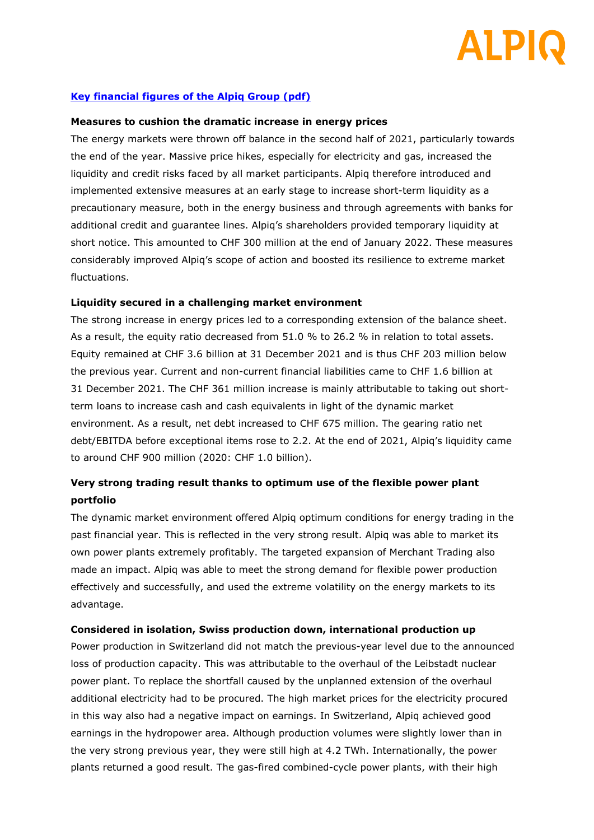# AI PIG

# **[Key financial figures of the Alpiq Group \(pdf\)](https://www.alpiq.com/fileadmin/user_upload/documents/publications/key_figures/alpiq_key_figures_annual_results_2021_en.pdf)**

#### **Measures to cushion the dramatic increase in energy prices**

The energy markets were thrown off balance in the second half of 2021, particularly towards the end of the year. Massive price hikes, especially for electricity and gas, increased the liquidity and credit risks faced by all market participants. Alpiq therefore introduced and implemented extensive measures at an early stage to increase short-term liquidity as a precautionary measure, both in the energy business and through agreements with banks for additional credit and guarantee lines. Alpiq's shareholders provided temporary liquidity at short notice. This amounted to CHF 300 million at the end of January 2022. These measures considerably improved Alpiq's scope of action and boosted its resilience to extreme market fluctuations.

#### **Liquidity secured in a challenging market environment**

The strong increase in energy prices led to a corresponding extension of the balance sheet. As a result, the equity ratio decreased from 51.0 % to 26.2 % in relation to total assets. Equity remained at CHF 3.6 billion at 31 December 2021 and is thus CHF 203 million below the previous year. Current and non-current financial liabilities came to CHF 1.6 billion at 31 December 2021. The CHF 361 million increase is mainly attributable to taking out shortterm loans to increase cash and cash equivalents in light of the dynamic market environment. As a result, net debt increased to CHF 675 million. The gearing ratio net debt/EBITDA before exceptional items rose to 2.2. At the end of 2021, Alpiq's liquidity came to around CHF 900 million (2020: CHF 1.0 billion).

# **Very strong trading result thanks to optimum use of the flexible power plant portfolio**

The dynamic market environment offered Alpiq optimum conditions for energy trading in the past financial year. This is reflected in the very strong result. Alpiq was able to market its own power plants extremely profitably. The targeted expansion of Merchant Trading also made an impact. Alpiq was able to meet the strong demand for flexible power production effectively and successfully, and used the extreme volatility on the energy markets to its advantage.

#### **Considered in isolation, Swiss production down, international production up**

Power production in Switzerland did not match the previous-year level due to the announced loss of production capacity. This was attributable to the overhaul of the Leibstadt nuclear power plant. To replace the shortfall caused by the unplanned extension of the overhaul additional electricity had to be procured. The high market prices for the electricity procured in this way also had a negative impact on earnings. In Switzerland, Alpiq achieved good earnings in the hydropower area. Although production volumes were slightly lower than in the very strong previous year, they were still high at 4.2 TWh. Internationally, the power plants returned a good result. The gas-fired combined-cycle power plants, with their high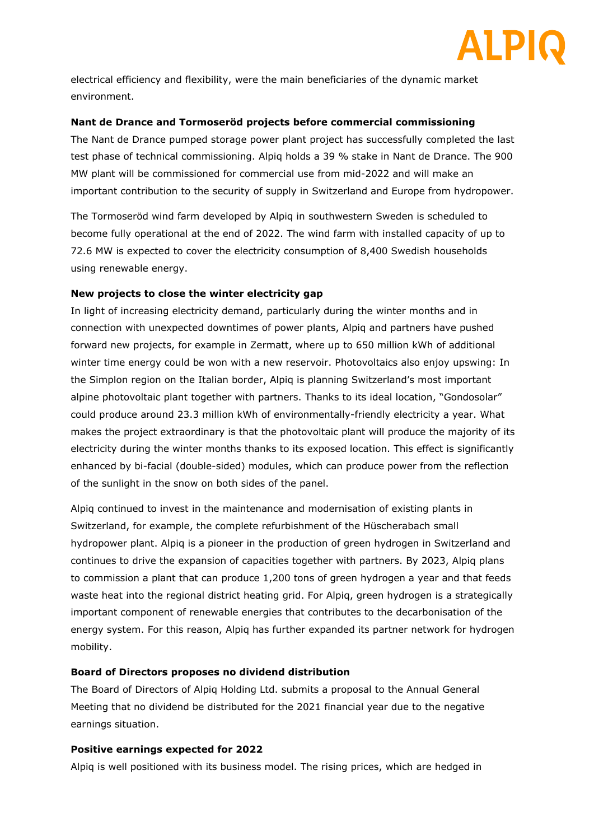

electrical efficiency and flexibility, were the main beneficiaries of the dynamic market environment.

#### **Nant de Drance and Tormoseröd projects before commercial commissioning**

The Nant de Drance pumped storage power plant project has successfully completed the last test phase of technical commissioning. Alpiq holds a 39 % stake in Nant de Drance. The 900 MW plant will be commissioned for commercial use from mid-2022 and will make an important contribution to the security of supply in Switzerland and Europe from hydropower.

The Tormoseröd wind farm developed by Alpiq in southwestern Sweden is scheduled to become fully operational at the end of 2022. The wind farm with installed capacity of up to 72.6 MW is expected to cover the electricity consumption of 8,400 Swedish households using renewable energy.

#### **New projects to close the winter electricity gap**

In light of increasing electricity demand, particularly during the winter months and in connection with unexpected downtimes of power plants, Alpiq and partners have pushed forward new projects, for example in Zermatt, where up to 650 million kWh of additional winter time energy could be won with a new reservoir. Photovoltaics also enjoy upswing: In the Simplon region on the Italian border, Alpiq is planning Switzerland's most important alpine photovoltaic plant together with partners. Thanks to its ideal location, "Gondosolar" could produce around 23.3 million kWh of environmentally-friendly electricity a year. What makes the project extraordinary is that the photovoltaic plant will produce the majority of its electricity during the winter months thanks to its exposed location. This effect is significantly enhanced by bi-facial (double-sided) modules, which can produce power from the reflection of the sunlight in the snow on both sides of the panel.

Alpiq continued to invest in the maintenance and modernisation of existing plants in Switzerland, for example, the complete refurbishment of the Hüscherabach small hydropower plant. Alpiq is a pioneer in the production of green hydrogen in Switzerland and continues to drive the expansion of capacities together with partners. By 2023, Alpiq plans to commission a plant that can produce 1,200 tons of green hydrogen a year and that feeds waste heat into the regional district heating grid. For Alpiq, green hydrogen is a strategically important component of renewable energies that contributes to the decarbonisation of the energy system. For this reason, Alpiq has further expanded its partner network for hydrogen mobility.

#### **Board of Directors proposes no dividend distribution**

The Board of Directors of Alpiq Holding Ltd. submits a proposal to the Annual General Meeting that no dividend be distributed for the 2021 financial year due to the negative earnings situation.

#### **Positive earnings expected for 2022**

Alpiq is well positioned with its business model. The rising prices, which are hedged in